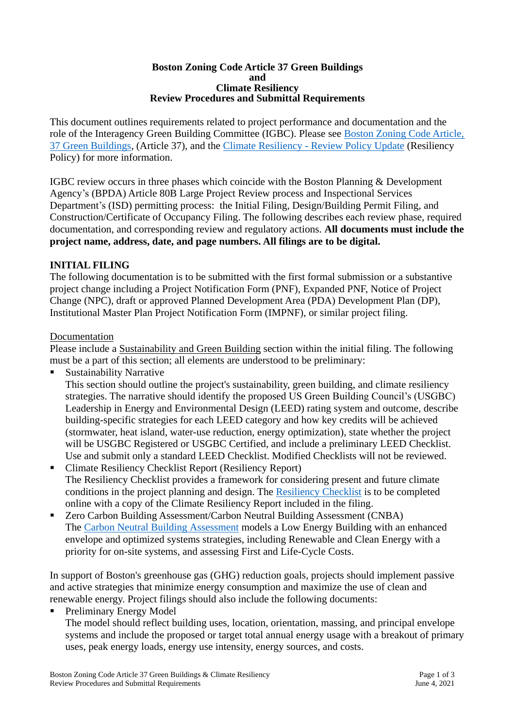#### **Boston Zoning Code Article 37 Green Buildings and Climate Resiliency Review Procedures and Submittal Requirements**

This document outlines requirements related to project performance and documentation and the role of the Interagency Green Building Committee (IGBC). Please see [Boston Zoning](https://www.municode.com/library/ma/boston/codes/redevelopment_authority?nodeId=ART37GRBU) Code Article, [37 Green Buildings,](https://www.municode.com/library/ma/boston/codes/redevelopment_authority?nodeId=ART37GRBU) (Article 37), and the Climate Resiliency - [Review Policy](http://www.bostonplans.org/getattachment/404b7556-5274-42b1-b9d5-b9493fa7c4f1) Update (Resiliency Policy) for more information.

IGBC review occurs in three phases which coincide with the Boston Planning & Development Agency's (BPDA) Article 80B Large Project Review process and Inspectional Services Department's (ISD) permitting process: the Initial Filing, Design/Building Permit Filing, and Construction/Certificate of Occupancy Filing. The following describes each review phase, required documentation, and corresponding review and regulatory actions. **All documents must include the project name, address, date, and page numbers. All filings are to be digital.**

## **INITIAL FILING**

The following documentation is to be submitted with the first formal submission or a substantive project change including a Project Notification Form (PNF), Expanded PNF, Notice of Project Change (NPC), draft or approved Planned Development Area (PDA) Development Plan (DP), Institutional Master Plan Project Notification Form (IMPNF), or similar project filing.

#### Documentation

Please include a Sustainability and Green Building section within the initial filing. The following must be a part of this section; all elements are understood to be preliminary:

**Sustainability Narrative** 

This section should outline the project's sustainability, green building, and climate resiliency strategies. The narrative should identify the proposed US Green Building Council's (USGBC) Leadership in Energy and Environmental Design (LEED) rating system and outcome, describe building-specific strategies for each LEED category and how key credits will be achieved (stormwater, heat island, water-use reduction, energy optimization), state whether the project will be USGBC Registered or USGBC Certified, and include a preliminary LEED Checklist. Use and submit only a standard LEED Checklist. Modified Checklists will not be reviewed.

- Climate Resiliency Checklist Report (Resiliency Report) The Resiliency Checklist provides a framework for considering present and future climate conditions in the project planning and design. The [Resiliency Checklist](https://docs.google.com/forms/d/e/1FAIpQLSe2QkrOsN821IyzDmhjhK0LUFmz0vOjkQIKwoqPIPju9JooEw/viewform) is to be completed online with a copy of the Climate Resiliency Report included in the filing.
- Zero Carbon Building Assessment/Carbon Neutral Building Assessment (CNBA) The [Carbon Neutral Building Assessment](http://www.bostonplans.org/getattachment/f0841692-8267-45f8-a652-6ab00f029b2c) models a Low Energy Building with an enhanced envelope and optimized systems strategies, including Renewable and Clean Energy with a priority for on-site systems, and assessing First and Life-Cycle Costs.

In support of Boston's greenhouse gas (GHG) reduction goals, projects should implement passive and active strategies that minimize energy consumption and maximize the use of clean and renewable energy. Project filings should also include the following documents:

Preliminary Energy Model

The model should reflect building uses, location, orientation, massing, and principal envelope systems and include the proposed or target total annual energy usage with a breakout of primary uses, peak energy loads, energy use intensity, energy sources, and costs.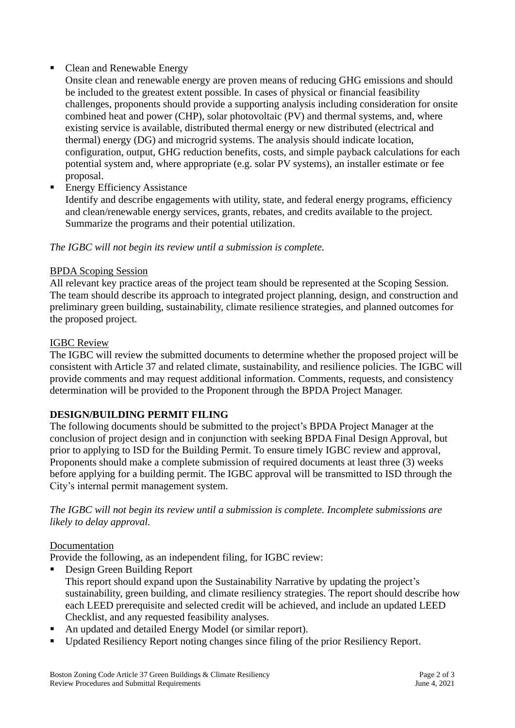# • Clean and Renewable Energy

Onsite clean and renewable energy are proven means of reducing GHG emissions and should be included to the greatest extent possible. In cases of physical or financial feasibility challenges, proponents should provide a supporting analysis including consideration for onsite combined heat and power (CHP), solar photovoltaic (PV) and thermal systems, and, where existing service is available, distributed thermal energy or new distributed (electrical and thermal) energy (DG) and microgrid systems. The analysis should indicate location, configuration, output, GHG reduction benefits, costs, and simple payback calculations for each potential system and, where appropriate (e.g. solar PV systems), an installer estimate or fee proposal.

**Energy Efficiency Assistance** 

Identify and describe engagements with utility, state, and federal energy programs, efficiency and clean/renewable energy services, grants, rebates, and credits available to the project. Summarize the programs and their potential utilization.

## *The IGBC will not begin its review until a submission is complete.*

#### BPDA Scoping Session

All relevant key practice areas of the project team should be represented at the Scoping Session. The team should describe its approach to integrated project planning, design, and construction and preliminary green building, sustainability, climate resilience strategies, and planned outcomes for the proposed project.

#### IGBC Review

The IGBC will review the submitted documents to determine whether the proposed project will be consistent with Article 37 and related climate, sustainability, and resilience policies. The IGBC will provide comments and may request additional information. Comments, requests, and consistency determination will be provided to the Proponent through the BPDA Project Manager.

## **DESIGN/BUILDING PERMIT FILING**

The following documents should be submitted to the project's BPDA Project Manager at the conclusion of project design and in conjunction with seeking BPDA Final Design Approval, but prior to applying to ISD for the Building Permit. To ensure timely IGBC review and approval, Proponents should make a complete submission of required documents at least three (3) weeks before applying for a building permit. The IGBC approval will be transmitted to ISD through the City's internal permit management system.

*The IGBC will not begin its review until a submission is complete. Incomplete submissions are likely to delay approval.*

## Documentation

Provide the following, as an independent filing, for IGBC review:

- Design Green Building Report This report should expand upon the Sustainability Narrative by updating the project's sustainability, green building, and climate resiliency strategies. The report should describe how each LEED prerequisite and selected credit will be achieved, and include an updated LEED Checklist, and any requested feasibility analyses.
- An updated and detailed Energy Model (or similar report).
- Updated Resiliency Report noting changes since filing of the prior Resiliency Report.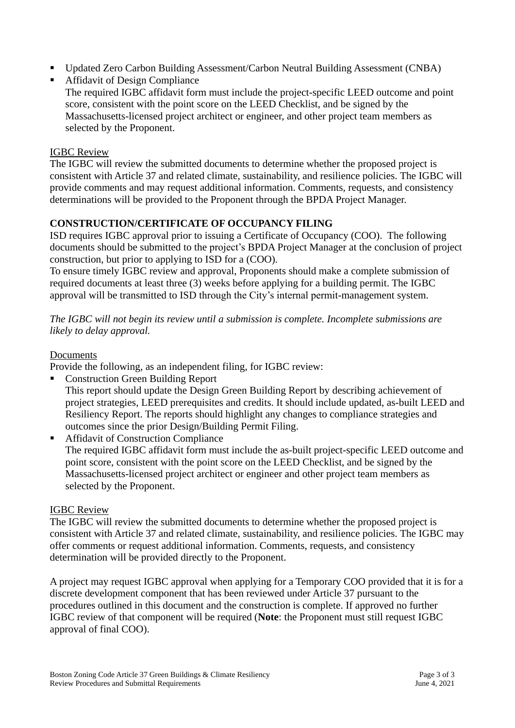- Updated Zero Carbon Building Assessment/Carbon Neutral Building Assessment (CNBA)
- **Affidavit of Design Compliance** 
	- The required IGBC affidavit form must include the project-specific LEED outcome and point score, consistent with the point score on the LEED Checklist, and be signed by the Massachusetts-licensed project architect or engineer, and other project team members as selected by the Proponent.

#### IGBC Review

The IGBC will review the submitted documents to determine whether the proposed project is consistent with Article 37 and related climate, sustainability, and resilience policies. The IGBC will provide comments and may request additional information. Comments, requests, and consistency determinations will be provided to the Proponent through the BPDA Project Manager.

## **CONSTRUCTION/CERTIFICATE OF OCCUPANCY FILING**

ISD requires IGBC approval prior to issuing a Certificate of Occupancy (COO). The following documents should be submitted to the project's BPDA Project Manager at the conclusion of project construction, but prior to applying to ISD for a (COO).

To ensure timely IGBC review and approval, Proponents should make a complete submission of required documents at least three (3) weeks before applying for a building permit. The IGBC approval will be transmitted to ISD through the City's internal permit-management system.

*The IGBC will not begin its review until a submission is complete. Incomplete submissions are likely to delay approval.*

#### Documents

Provide the following, as an independent filing, for IGBC review:

- Construction Green Building Report This report should update the Design Green Building Report by describing achievement of project strategies, LEED prerequisites and credits. It should include updated, as-built LEED and Resiliency Report. The reports should highlight any changes to compliance strategies and outcomes since the prior Design/Building Permit Filing.
- Affidavit of Construction Compliance The required IGBC affidavit form must include the as-built project-specific LEED outcome and point score, consistent with the point score on the LEED Checklist, and be signed by the Massachusetts-licensed project architect or engineer and other project team members as selected by the Proponent.

## IGBC Review

The IGBC will review the submitted documents to determine whether the proposed project is consistent with Article 37 and related climate, sustainability, and resilience policies. The IGBC may offer comments or request additional information. Comments, requests, and consistency determination will be provided directly to the Proponent.

A project may request IGBC approval when applying for a Temporary COO provided that it is for a discrete development component that has been reviewed under Article 37 pursuant to the procedures outlined in this document and the construction is complete. If approved no further IGBC review of that component will be required (**Note**: the Proponent must still request IGBC approval of final COO).